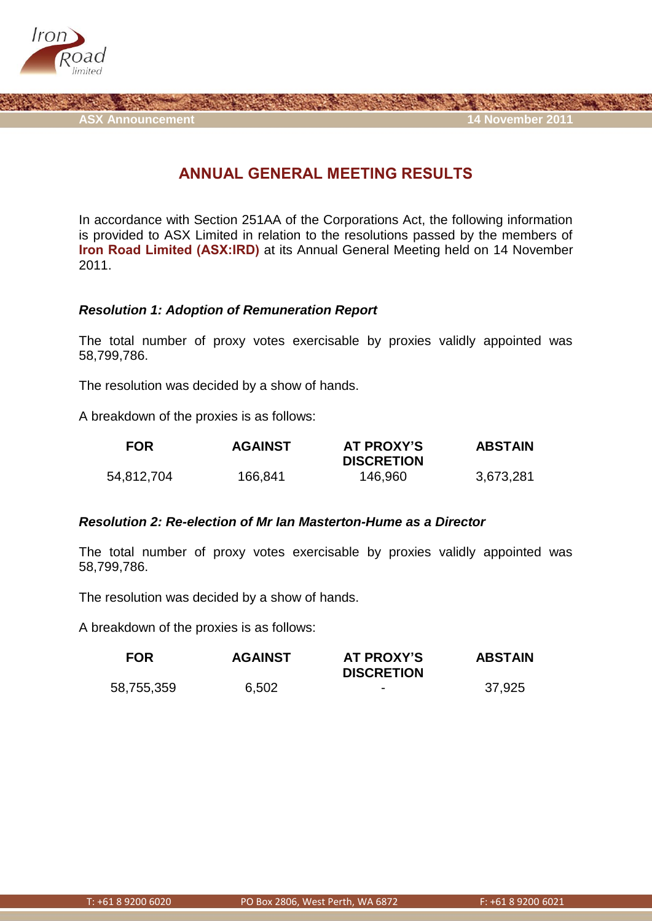

**ASX Announcement 14 November 2011**

## **ANNUAL GENERAL MEETING RESULTS**

In accordance with Section 251AA of the Corporations Act, the following information is provided to ASX Limited in relation to the resolutions passed by the members of **Iron Road Limited (ASX:IRD)** at its Annual General Meeting held on 14 November 2011.

## *Resolution 1: Adoption of Remuneration Report*

The total number of proxy votes exercisable by proxies validly appointed was 58,799,786.

The resolution was decided by a show of hands.

A breakdown of the proxies is as follows:

| <b>FOR</b> | <b>AGAINST</b> | AT PROXY'S        | <b>ABSTAIN</b> |
|------------|----------------|-------------------|----------------|
|            |                | <b>DISCRETION</b> |                |
| 54,812,704 | 166,841        | 146,960           | 3,673,281      |

## *Resolution 2: Re-election of Mr Ian Masterton-Hume as a Director*

The total number of proxy votes exercisable by proxies validly appointed was 58,799,786.

The resolution was decided by a show of hands.

A breakdown of the proxies is as follows:

| <b>FOR</b> | <b>AGAINST</b> | AT PROXY'S<br><b>DISCRETION</b> | <b>ABSTAIN</b> |
|------------|----------------|---------------------------------|----------------|
| 58,755,359 | 6,502          | $\overline{\phantom{0}}$        | 37,925         |